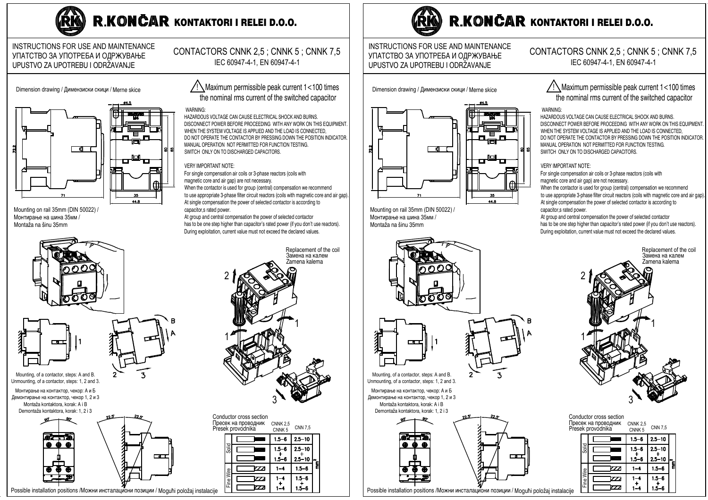

# R.KONČAR KONTAKTORI I RELEI D.O.O.

### INSTRUCTIONS FOR USE AND MAINTENANCE УПАТСТВО ЗА УПОТРЕБА И ОДРЖУВАЊЕ UPUSTVO ZA UPOTREBU I ODRŽAVANJE

Dimension drawing / Димензиски скици / Merne skice





Mounting on rail 35mm (DIN 50022) / Монтирање на шина 35мм / Montaža na šinu 35mm







Mounting, of a contactor, steps: A and B. Unmounting, of a contactor, steps: 1, 2 and 3.

Монтирање на контактор, чекор: А и Б Демонтирање на контактор, чекор 1, 2 и 3 Montaža kontaktora, korak: A i B Demontaža kontaktora, korak: 1, 2 i 3





## /\ Maximum permissible peak current 1<100 times the nominal rms current of the switched capacitor

CONTACTORS CNNK 2.5; CNNK 5; CNNK 7.5

IEC 60947-4-1, EN 60947-4-1

#### **WARNING**

HAZARDOUS VOLTAGE CAN CAUSE ELECTRICAL SHOCK AND BURNS. DISCONNECT POWER BEFORE PROCEEDING WITH ANY WORK ON THIS FOLLIPMENT WHEN THE SYSTEM VOLTAGE IS APPLIED AND THE LOAD IS CONNECTED. DO NOT OPERATE THE CONTACTOR BY PRESSING DOWN THE POSITION INDICATOR MANUAL OPERATION NOT PERMITTED FOR FUNCTION TESTING. SWITCH ONLY ON TO DISCHARGED CAPACITORS.

#### **VERY IMPORTANT NOTE:**

For single compensation air coils or 3-phase reactors (coils with magnetic core and air gap) are not necessary.

When the contactor is used for group (central) compensation we recommend to use appropriate 3-phase filter circuit reactors (coils with magnetic core and air gap). At single compensation the power of selected contactor is according to capacitor.s rated power.

At group and central compensation the power of selected contactor has to be one step higher than capacitor's rated power (if you don't use reactors). During exploitation, current value must not exceed the declared values.

> Replacement of the coil Замена на калем zamena kalema

| onquetor cross section.<br>Іресек на проводник<br>resek provodnika |           |                | <b>CNNK 2.5</b><br>CNNK <sub>5</sub> | <b>CNN 7.5</b> |         |
|--------------------------------------------------------------------|-----------|----------------|--------------------------------------|----------------|---------|
|                                                                    |           |                | $1.5 - 6$                            | $2.5 - 10$     |         |
|                                                                    | Solid     |                | $1.5 - 6$                            | $2.5 - 10$     |         |
|                                                                    |           |                | $1.5 - 6$                            | $2.5 - 10$     | "a<br>a |
|                                                                    |           | $\mathcal{T}$  |                                      | $1.5 - 6$      |         |
|                                                                    | Fine Wire | 773            | $1 - 4$                              | $1.5 - 6$      |         |
| e                                                                  |           | $\overline{ }$ |                                      | 1.5–6          |         |



Possible installation positions / Можни инсталациони позиции / Moguħi položaj instalacij